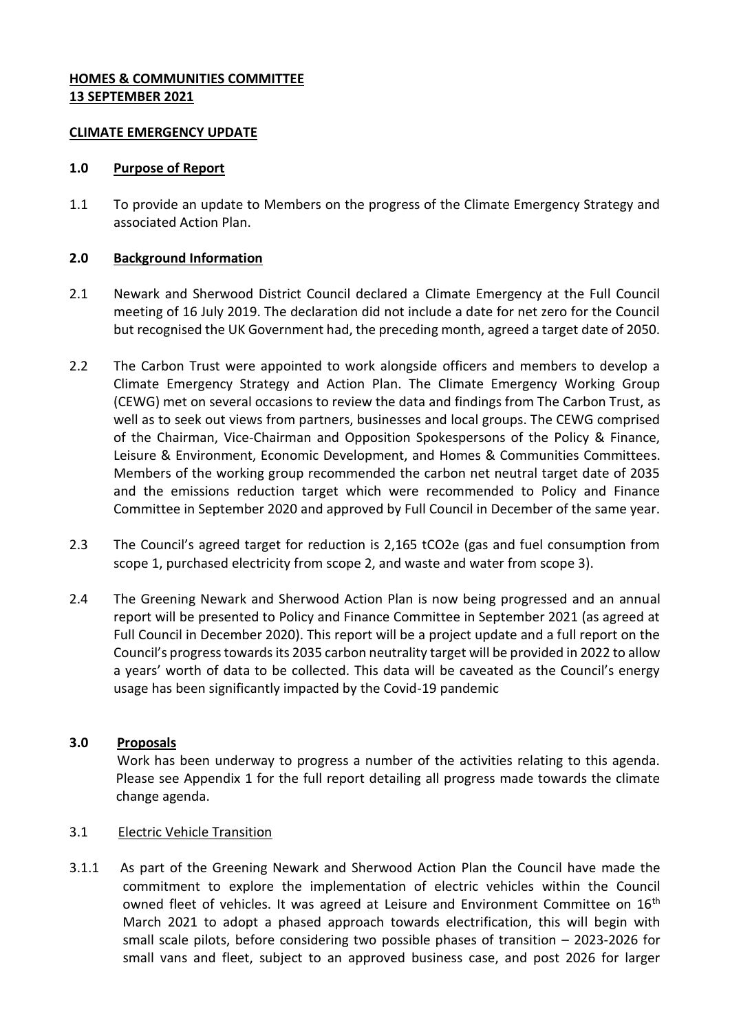# **HOMES & COMMUNITIES COMMITTEE 13 SEPTEMBER 2021**

### **CLIMATE EMERGENCY UPDATE**

#### **1.0 Purpose of Report**

1.1 To provide an update to Members on the progress of the Climate Emergency Strategy and associated Action Plan.

### **2.0 Background Information**

- 2.1 Newark and Sherwood District Council declared a Climate Emergency at the Full Council meeting of 16 July 2019. The declaration did not include a date for net zero for the Council but recognised the UK Government had, the preceding month, agreed a target date of 2050.
- 2.2 The Carbon Trust were appointed to work alongside officers and members to develop a Climate Emergency Strategy and Action Plan. The Climate Emergency Working Group (CEWG) met on several occasions to review the data and findings from The Carbon Trust, as well as to seek out views from partners, businesses and local groups. The CEWG comprised of the Chairman, Vice-Chairman and Opposition Spokespersons of the Policy & Finance, Leisure & Environment, Economic Development, and Homes & Communities Committees. Members of the working group recommended the carbon net neutral target date of 2035 and the emissions reduction target which were recommended to Policy and Finance Committee in September 2020 and approved by Full Council in December of the same year.
- 2.3 The Council's agreed target for reduction is 2,165 tCO2e (gas and fuel consumption from scope 1, purchased electricity from scope 2, and waste and water from scope 3).
- 2.4 The Greening Newark and Sherwood Action Plan is now being progressed and an annual report will be presented to Policy and Finance Committee in September 2021 (as agreed at Full Council in December 2020). This report will be a project update and a full report on the Council's progress towards its 2035 carbon neutrality target will be provided in 2022 to allow a years' worth of data to be collected. This data will be caveated as the Council's energy usage has been significantly impacted by the Covid-19 pandemic

### **3.0 Proposals**

Work has been underway to progress a number of the activities relating to this agenda. Please see Appendix 1 for the full report detailing all progress made towards the climate change agenda.

### 3.1 Electric Vehicle Transition

3.1.1 As part of the Greening Newark and Sherwood Action Plan the Council have made the commitment to explore the implementation of electric vehicles within the Council owned fleet of vehicles. It was agreed at Leisure and Environment Committee on 16<sup>th</sup> March 2021 to adopt a phased approach towards electrification, this will begin with small scale pilots, before considering two possible phases of transition – 2023-2026 for small vans and fleet, subject to an approved business case, and post 2026 for larger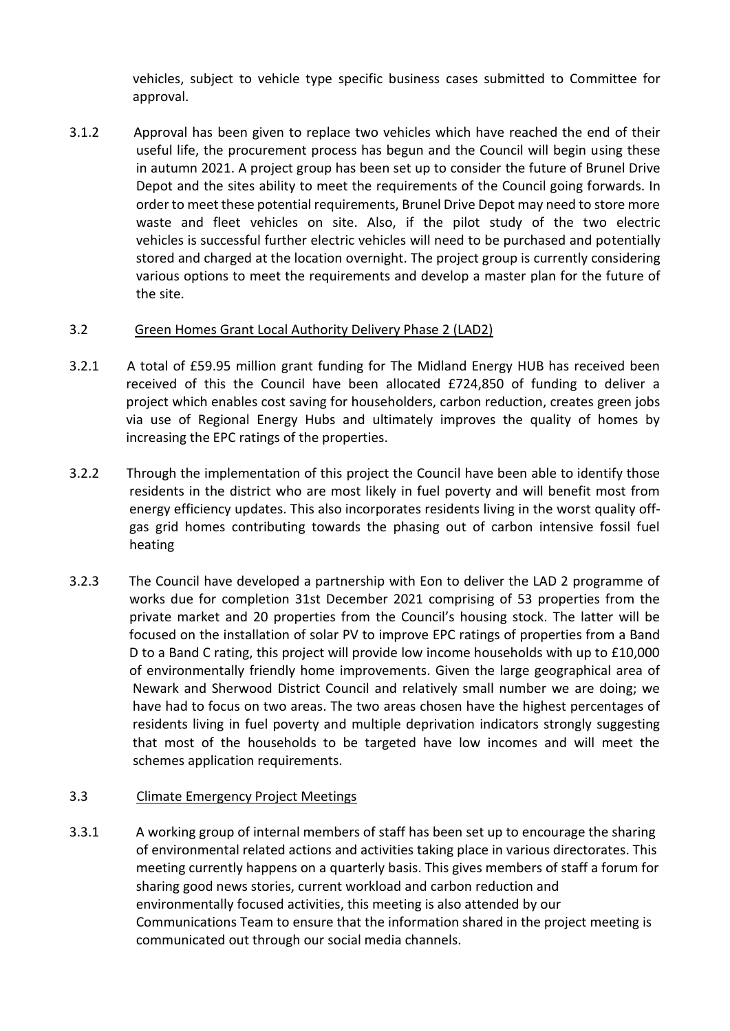vehicles, subject to vehicle type specific business cases submitted to Committee for approval.

3.1.2 Approval has been given to replace two vehicles which have reached the end of their useful life, the procurement process has begun and the Council will begin using these in autumn 2021. A project group has been set up to consider the future of Brunel Drive Depot and the sites ability to meet the requirements of the Council going forwards. In order to meet these potential requirements, Brunel Drive Depot may need to store more waste and fleet vehicles on site. Also, if the pilot study of the two electric vehicles is successful further electric vehicles will need to be purchased and potentially stored and charged at the location overnight. The project group is currently considering various options to meet the requirements and develop a master plan for the future of the site.

# 3.2 Green Homes Grant Local Authority Delivery Phase 2 (LAD2)

- 3.2.1 A total of £59.95 million grant funding for The Midland Energy HUB has received been received of this the Council have been allocated £724,850 of funding to deliver a project which enables cost saving for householders, carbon reduction, creates green jobs via use of Regional Energy Hubs and ultimately improves the quality of homes by increasing the EPC ratings of the properties.
- 3.2.2 Through the implementation of this project the Council have been able to identify those residents in the district who are most likely in fuel poverty and will benefit most from energy efficiency updates. This also incorporates residents living in the worst quality off gas grid homes contributing towards the phasing out of carbon intensive fossil fuel heating
- 3.2.3 The Council have developed a partnership with Eon to deliver the LAD 2 programme of works due for completion 31st December 2021 comprising of 53 properties from the private market and 20 properties from the Council's housing stock. The latter will be focused on the installation of solar PV to improve EPC ratings of properties from a Band D to a Band C rating, this project will provide low income households with up to £10,000 of environmentally friendly home improvements. Given the large geographical area of Newark and Sherwood District Council and relatively small number we are doing; we have had to focus on two areas. The two areas chosen have the highest percentages of residents living in fuel poverty and multiple deprivation indicators strongly suggesting that most of the households to be targeted have low incomes and will meet the schemes application requirements.

# 3.3 Climate Emergency Project Meetings

3.3.1 A working group of internal members of staff has been set up to encourage the sharing of environmental related actions and activities taking place in various directorates. This meeting currently happens on a quarterly basis. This gives members of staff a forum for sharing good news stories, current workload and carbon reduction and environmentally focused activities, this meeting is also attended by our Communications Team to ensure that the information shared in the project meeting is communicated out through our social media channels.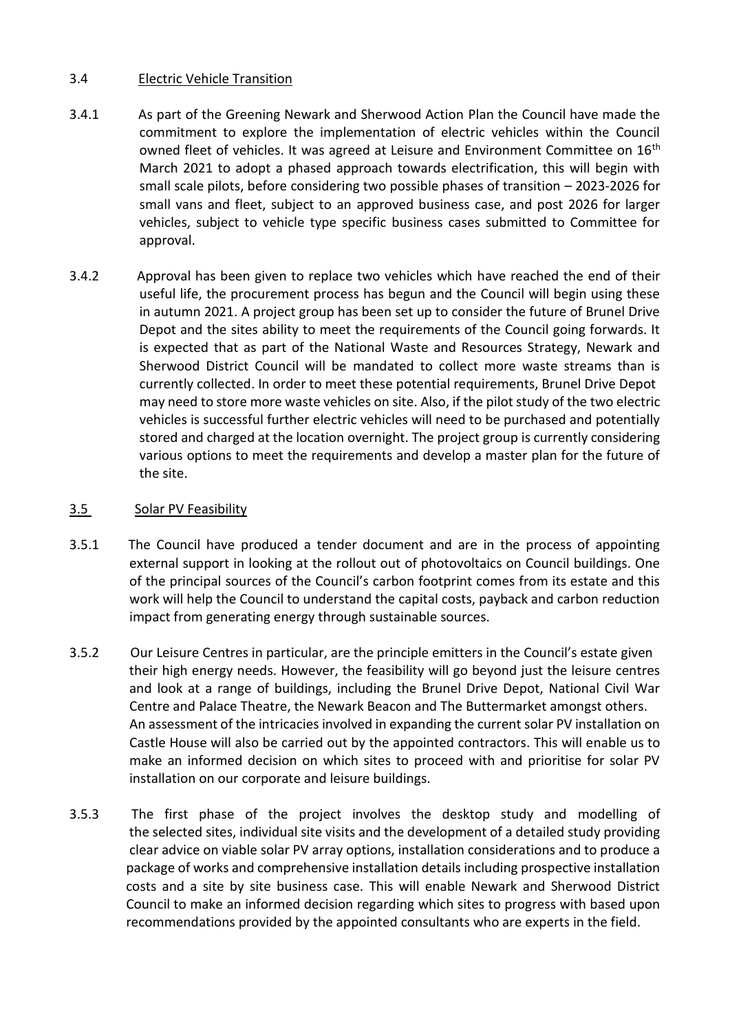## 3.4 Electric Vehicle Transition

- 3.4.1 As part of the Greening Newark and Sherwood Action Plan the Council have made the commitment to explore the implementation of electric vehicles within the Council owned fleet of vehicles. It was agreed at Leisure and Environment Committee on 16<sup>th</sup> March 2021 to adopt a phased approach towards electrification, this will begin with small scale pilots, before considering two possible phases of transition – 2023-2026 for small vans and fleet, subject to an approved business case, and post 2026 for larger vehicles, subject to vehicle type specific business cases submitted to Committee for approval.
- 3.4.2 Approval has been given to replace two vehicles which have reached the end of their useful life, the procurement process has begun and the Council will begin using these in autumn 2021. A project group has been set up to consider the future of Brunel Drive Depot and the sites ability to meet the requirements of the Council going forwards. It is expected that as part of the National Waste and Resources Strategy, Newark and Sherwood District Council will be mandated to collect more waste streams than is currently collected. In order to meet these potential requirements, Brunel Drive Depot may need to store more waste vehicles on site. Also, if the pilot study of the two electric vehicles is successful further electric vehicles will need to be purchased and potentially stored and charged at the location overnight. The project group is currently considering various options to meet the requirements and develop a master plan for the future of the site.

# 3.5 Solar PV Feasibility

- 3.5.1 The Council have produced a tender document and are in the process of appointing external support in looking at the rollout out of photovoltaics on Council buildings. One of the principal sources of the Council's carbon footprint comes from its estate and this work will help the Council to understand the capital costs, payback and carbon reduction impact from generating energy through sustainable sources.
- 3.5.2 Our Leisure Centres in particular, are the principle emitters in the Council's estate given their high energy needs. However, the feasibility will go beyond just the leisure centres and look at a range of buildings, including the Brunel Drive Depot, National Civil War Centre and Palace Theatre, the Newark Beacon and The Buttermarket amongst others. An assessment of the intricacies involved in expanding the current solar PV installation on Castle House will also be carried out by the appointed contractors. This will enable us to make an informed decision on which sites to proceed with and prioritise for solar PV installation on our corporate and leisure buildings.
- 3.5.3 The first phase of the project involves the desktop study and modelling of the selected sites, individual site visits and the development of a detailed study providing clear advice on viable solar PV array options, installation considerations and to produce a package of works and comprehensive installation details including prospective installation costs and a site by site business case. This will enable Newark and Sherwood District Council to make an informed decision regarding which sites to progress with based upon recommendations provided by the appointed consultants who are experts in the field.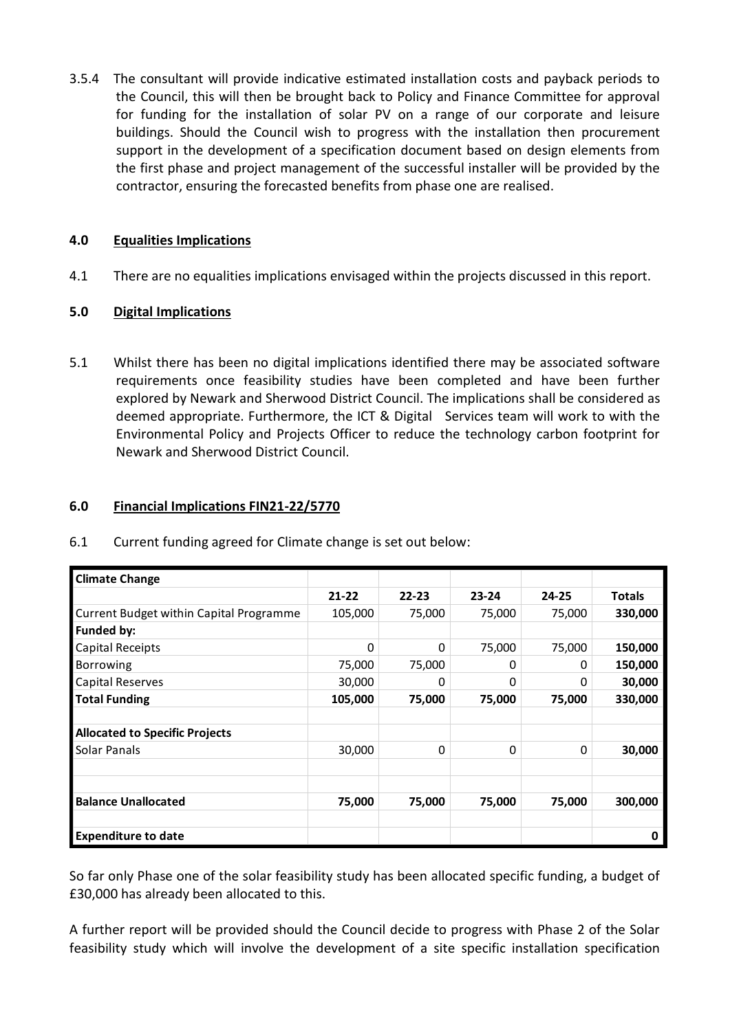3.5.4 The consultant will provide indicative estimated installation costs and payback periods to the Council, this will then be brought back to Policy and Finance Committee for approval for funding for the installation of solar PV on a range of our corporate and leisure buildings. Should the Council wish to progress with the installation then procurement support in the development of a specification document based on design elements from the first phase and project management of the successful installer will be provided by the contractor, ensuring the forecasted benefits from phase one are realised.

# **4.0 Equalities Implications**

4.1 There are no equalities implications envisaged within the projects discussed in this report.

# **5.0 Digital Implications**

5.1 Whilst there has been no digital implications identified there may be associated software requirements once feasibility studies have been completed and have been further explored by Newark and Sherwood District Council. The implications shall be considered as deemed appropriate. Furthermore, the ICT & Digital Services team will work to with the Environmental Policy and Projects Officer to reduce the technology carbon footprint for Newark and Sherwood District Council.

# **6.0 Financial Implications FIN21-22/5770**

| <b>Climate Change</b>                                                                                                                                |           |           |           |           |               |
|------------------------------------------------------------------------------------------------------------------------------------------------------|-----------|-----------|-----------|-----------|---------------|
|                                                                                                                                                      | $21 - 22$ | $22 - 23$ | $23 - 24$ | $24 - 25$ | <b>Totals</b> |
| Current Budget within Capital Programme                                                                                                              | 105,000   | 75,000    | 75,000    | 75,000    | 330,000       |
| <b>Funded by:</b>                                                                                                                                    |           |           |           |           |               |
| Capital Receipts                                                                                                                                     | $\Omega$  | 0         | 75,000    | 75,000    | 150,000       |
| Borrowing                                                                                                                                            | 75,000    | 75,000    | 0         | 0         | 150,000       |
| Capital Reserves                                                                                                                                     | 30,000    | 0         | 0         | 0         | 30,000        |
| <b>Total Funding</b>                                                                                                                                 | 105,000   | 75,000    | 75,000    | 75,000    | 330,000       |
|                                                                                                                                                      |           |           |           |           |               |
| <b>Allocated to Specific Projects</b>                                                                                                                |           |           |           |           |               |
| Solar Panals                                                                                                                                         | 30,000    | 0         | $\Omega$  | 0         | 30,000        |
|                                                                                                                                                      |           |           |           |           |               |
|                                                                                                                                                      |           |           |           |           |               |
| <b>Balance Unallocated</b>                                                                                                                           | 75,000    | 75,000    | 75,000    | 75,000    | 300,000       |
|                                                                                                                                                      |           |           |           |           |               |
| <b>Expenditure to date</b>                                                                                                                           |           |           |           |           | 0             |
| So far only Phase one of the solar feasibility study has been allocated specific funding, a budget of<br>£30,000 has already been allocated to this. |           |           |           |           |               |
| A further report will be provided should the Council decide to progress with Phase 2 of the Solar                                                    |           |           |           |           |               |
| feasibility study which will involve the development of a site specific installation specification                                                   |           |           |           |           |               |

6.1 Current funding agreed for Climate change is set out below: